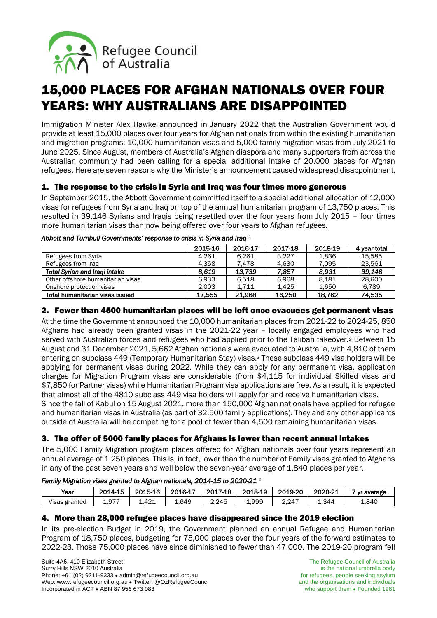

# 15,000 PLACES FOR AFGHAN NATIONALS OVER FOUR YEARS: WHY AUSTRALIANS ARE DISAPPOINTED

Immigration Minister Alex Hawke announced in January 2022 that the Australian Government would provide at least 15,000 places over four years for Afghan nationals from within the existing humanitarian and migration programs: 10,000 humanitarian visas and 5,000 family migration visas from July 2021 to June 2025. Since August, members of Australia's Afghan diaspora and many supporters from across the Australian community had been calling for a special additional intake of 20,000 places for Afghan refugees. Here are seven reasons why the Minister's announcement caused widespread disappointment.

## 1. The response to the crisis in Syria and Iraq was four times more generous

In September 2015, the Abbott Government committed itself to a special additional allocation of 12,000 visas for refugees from Syria and Iraq on top of the annual humanitarian program of 13,750 places. This resulted in 39,146 Syrians and Iraqis being resettled over the four years from July 2015 – four times more humanitarian visas than now being offered over four years to Afghan refugees.

|                                      | 2015-16 | 2016-17 | 2017-18 | 2018-19 | 4 year total |  |  |  |
|--------------------------------------|---------|---------|---------|---------|--------------|--|--|--|
| Refugees from Syria                  | 4.261   | 6.261   | 3.227   | 1.836   | 15.585       |  |  |  |
| Refugees from Irag                   | 4.358   | 7.478   | 4.630   | 7.095   | 23.561       |  |  |  |
| <b>Total Syrian and Iragi intake</b> | 8.619   | 13.739  | 7.857   | 8.931   | 39.146       |  |  |  |
| Other offshore humanitarian visas    | 6.933   | 6.518   | 6.968   | 8.181   | 28,600       |  |  |  |
| Onshore protection visas             | 2,003   | 1,711   | 1.425   | 1.650   | 6,789        |  |  |  |
| Total humanitarian visas issued      | 17.555  | 21,968  | 16,250  | 18.762  | 74.535       |  |  |  |

#### *Abbott and Turnbull Governments' response to crisis in Syria and Iraq <sup>1</sup>*

## 2. Fewer than 4500 humanitarian places will be left once evacuees get permanent visas

At the time the Government announced the 10,000 humanitarian places from 2021-22 to 2024-25, 850 Afghans had already been granted visas in the 2021-22 year – locally engaged employees who had served with Australian forces and refugees who had applied prior to the Taliban takeover.<sup>2</sup> Between 15 August and 31 December 2021, 5,662 Afghan nationals were evacuated to Australia, with 4,810 of them entering on subclass 449 (Temporary Humanitarian Stay) visas.<sup>3</sup> These subclass 449 visa holders will be applying for permanent visas during 2022. While they can apply for any permanent visa, application charges for Migration Program visas are considerable (from \$4,115 for individual Skilled visas and \$7,850 for Partner visas) while Humanitarian Program visa applications are free. As a result, it is expected that almost all of the 4810 subclass 449 visa holders will apply for and receive humanitarian visas.

Since the fall of Kabul on 15 August 2021, more than 150,000 Afghan nationals have applied for refugee and humanitarian visas in Australia (as part of 32,500 family applications). They and any other applicants outside of Australia will be competing for a pool of fewer than 4,500 remaining humanitarian visas.

### 3. The offer of 5000 family places for Afghans is lower than recent annual intakes

The 5,000 Family Migration program places offered for Afghan nationals over four years represent an annual average of 1,250 places. This is, in fact, lower than the number of Family visas granted to Afghans in any of the past seven years and well below the seven-year average of 1,840 places per year.

#### *Family Migration visas granted to Afghan nationals, 2014-15 to 2020-21 4*

| Year          | 2014-15 | 2015-16 | 2016-17 | 2017-18 | 2018-19 | 2019-20 | 2020-21 | yr average |
|---------------|---------|---------|---------|---------|---------|---------|---------|------------|
| Visas granted | 1,977   | 1.421   | 1.649   | 2.245   | 1,999   | 2.247   | 1.344   | 1,840      |

### 4. More than 28,000 refugee places have disappeared since the 2019 election

In its pre-election Budget in 2019, the Government planned an annual Refugee and Humanitarian Program of 18,750 places, budgeting for 75,000 places over the four years of the forward estimates to 2022-23. Those 75,000 places have since diminished to fewer than 47,000. The 2019-20 program fell